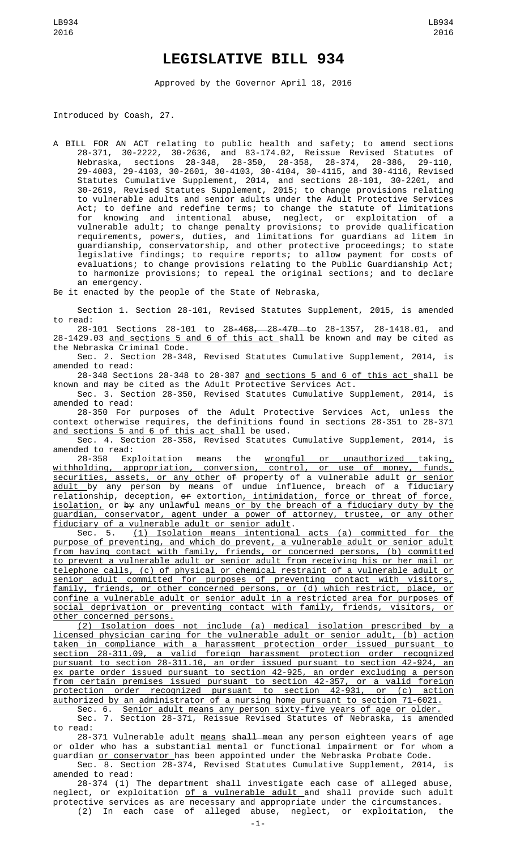## **LEGISLATIVE BILL 934**

Approved by the Governor April 18, 2016

Introduced by Coash, 27.

A BILL FOR AN ACT relating to public health and safety; to amend sections 28-371, 30-2222, 30-2636, and 83-174.02, Reissue Revised Statutes of Nebraska, sections 28-348, 28-350, 28-358, 28-374, 28-386, 29-110, 29-4003, 29-4103, 30-2601, 30-4103, 30-4104, 30-4115, and 30-4116, Revised Statutes Cumulative Supplement, 2014, and sections 28-101, 30-2201, and 30-2619, Revised Statutes Supplement, 2015; to change provisions relating to vulnerable adults and senior adults under the Adult Protective Services Act; to define and redefine terms; to change the statute of limitations for knowing and intentional abuse, neglect, or exploitation of a vulnerable adult; to change penalty provisions; to provide qualification requirements, powers, duties, and limitations for guardians ad litem in guardianship, conservatorship, and other protective proceedings; to state legislative findings; to require reports; to allow payment for costs of evaluations; to change provisions relating to the Public Guardianship Act; to harmonize provisions; to repeal the original sections; and to declare an emergency.

Be it enacted by the people of the State of Nebraska,

Section 1. Section 28-101, Revised Statutes Supplement, 2015, is amended to read:

28-101 Sections 28-101 to 28-468, 28-470 to 28-1357, 28-1418.01, and 28-1429.03 <u>and sections 5 and 6 of this act </u>shall be known and may be cited as the Nebraska Criminal Code.

Sec. 2. Section 28-348, Revised Statutes Cumulative Supplement, 2014, is amended to read:

28-348 Sections 28-348 to 28-387 and sections 5 and 6 of this act shall be known and may be cited as the Adult Protective Services Act.

Sec. 3. Section 28-350, Revised Statutes Cumulative Supplement, 2014, is amended to read:

28-350 For purposes of the Adult Protective Services Act, unless the context otherwise requires, the definitions found in sections 28-351 to 28-371 and sections 5 and 6 of this act shall be used.

Sec. 4. Section 28-358, Revised Statutes Cumulative Supplement, 2014, is amended to read:

28-358 Exploitation means the <u>wrongful or unauthorized </u>taking<u>,</u> withholding, appropriation, conversion, control, or use of money, funds, securities, assets, or any other of property of a vulnerable adult or senior <u>adult </u>by any person by means of undue influence, breach of a fiduciary relationship, deception, or extortion, intimidation, force or threat of force, isolation, or by any unlawful means or by the breach of a fiduciary duty by the guardian, conservator, agent under a power of attorney, trustee, or any other fiduciary of a vulnerable adult or senior adult.

Sec. 5. <u>(1) Isolation means intentional acts (a) committed for the</u> purpose of preventing, and which do prevent, a vulnerable adult or senior adult from having contact with family, friends, or concerned persons, (b) committed to prevent a vulnerable adult or senior adult from receiving his or her mail or telephone calls, (c) of physical or chemical restraint of a vulnerable adult or senior adult committed for purposes of preventing contact with visitors, family, friends, or other concerned persons, or (d) which restrict, place, or confine a vulnerable adult or senior adult in a restricted area for purposes of social deprivation or preventing contact with family, friends, visitors, or other concerned persons.

(2) Isolation does not include (a) medical isolation prescribed by a licensed physician caring for the vulnerable adult or senior adult, (b) action taken in compliance with a harassment protection order issued pursuant to section 28-311.09, a valid foreign harassment protection order recognized pursuant to section 28-311.10, an order issued pursuant to section 42-924, an ex parte order issued pursuant to section 42-925, an order excluding a person from certain premises issued pursuant to section 42-357, or a valid foreign protection order recognized pursuant to section 42-931, or (c) action authorized by an administrator of a nursing home pursuant to section 71-6021.

Sec. 6. Senior adult means any person sixty-five years of age or older. Sec. 7. Section 28-371, Reissue Revised Statutes of Nebraska, is amended to read:

28-371 Vulnerable adult means shall mean any person eighteen years of age or older who has a substantial mental or functional impairment or for whom a guardian <u>or conservator </u>has been appointed under the Nebraska Probate Code.

Sec. 8. Section 28-374, Revised Statutes Cumulative Supplement, 2014, is amended to read:

28-374 (1) The department shall investigate each case of alleged abuse, neglect, or exploitation <u>of a vulnerable adult a</u>nd shall provide such adult protective services as are necessary and appropriate under the circumstances.<br>(2) In each case of alleged abuse, neglect, or exploitation, the (2) In each case of alleged abuse, neglect, or exploitation,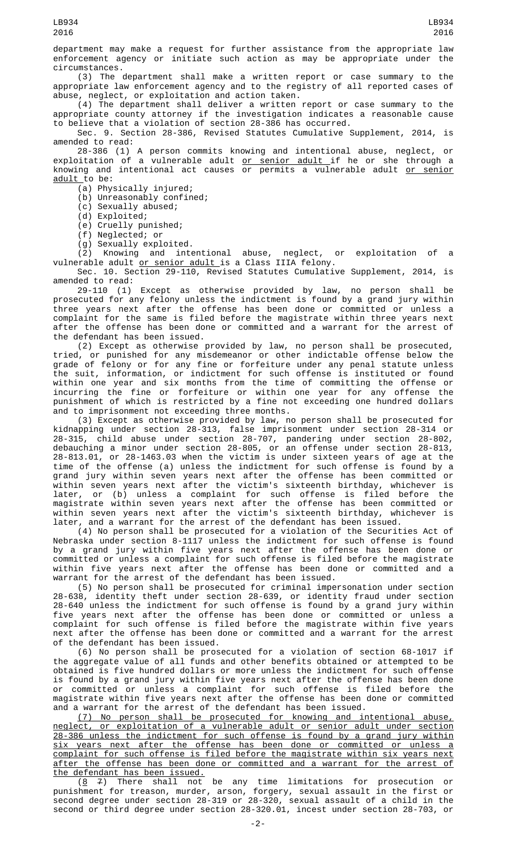department may make a request for further assistance from the appropriate law enforcement agency or initiate such action as may be appropriate under the circumstances.

(3) The department shall make a written report or case summary to the appropriate law enforcement agency and to the registry of all reported cases of abuse, neglect, or exploitation and action taken.

(4) The department shall deliver a written report or case summary to the appropriate county attorney if the investigation indicates a reasonable cause to believe that a violation of section 28-386 has occurred.

Sec. 9. Section 28-386, Revised Statutes Cumulative Supplement, 2014, is amended to read:

28-386 (1) A person commits knowing and intentional abuse, neglect, or exploitation of a vulnerable adult <u>or senior adult </u>if he or she through a knowing and intentional act causes or permits a vulnerable adult <u>or senior</u> adult to be:

 $(a)$  Physically injured;

(b) Unreasonably confined;

(c) Sexually abused;

(d) Exploited;

(e) Cruelly punished;

(f) Neglected; or

(g) Sexually exploited.

(2) Knowing and intentional abuse, neglect, or exploitation of a vulnerable adult <u>or senior adult </u>is a Class IIIA felony.

Sec. 10. Section 29-110, Revised Statutes Cumulative Supplement, 2014, is amended to read:

29-110 (1) Except as otherwise provided by law, no person shall be prosecuted for any felony unless the indictment is found by a grand jury within three years next after the offense has been done or committed or unless a complaint for the same is filed before the magistrate within three years next after the offense has been done or committed and a warrant for the arrest of the defendant has been issued.

(2) Except as otherwise provided by law, no person shall be prosecuted, tried, or punished for any misdemeanor or other indictable offense below the grade of felony or for any fine or forfeiture under any penal statute unless the suit, information, or indictment for such offense is instituted or found within one year and six months from the time of committing the offense or incurring the fine or forfeiture or within one year for any offense the punishment of which is restricted by a fine not exceeding one hundred dollars and to imprisonment not exceeding three months.

(3) Except as otherwise provided by law, no person shall be prosecuted for kidnapping under section 28-313, false imprisonment under section 28-314 or 28-315, child abuse under section 28-707, pandering under section 28-802, debauching a minor under section 28-805, or an offense under section 28-813, 28-813.01, or 28-1463.03 when the victim is under sixteen years of age at the time of the offense (a) unless the indictment for such offense is found by a grand jury within seven years next after the offense has been committed or within seven years next after the victim's sixteenth birthday, whichever is later, or (b) unless a complaint for such offense is filed before the magistrate within seven years next after the offense has been committed or within seven years next after the victim's sixteenth birthday, whichever is later, and a warrant for the arrest of the defendant has been issued.

(4) No person shall be prosecuted for a violation of the Securities Act of Nebraska under section 8-1117 unless the indictment for such offense is found by a grand jury within five years next after the offense has been done or committed or unless a complaint for such offense is filed before the magistrate within five years next after the offense has been done or committed and a warrant for the arrest of the defendant has been issued.

(5) No person shall be prosecuted for criminal impersonation under section 28-638, identity theft under section 28-639, or identity fraud under section 28-640 unless the indictment for such offense is found by a grand jury within five years next after the offense has been done or committed or unless a complaint for such offense is filed before the magistrate within five years next after the offense has been done or committed and a warrant for the arrest of the defendant has been issued.

(6) No person shall be prosecuted for a violation of section 68-1017 if the aggregate value of all funds and other benefits obtained or attempted to be obtained is five hundred dollars or more unless the indictment for such offense is found by a grand jury within five years next after the offense has been done or committed or unless a complaint for such offense is filed before the magistrate within five years next after the offense has been done or committed and a warrant for the arrest of the defendant has been issued.

(7) No person shall be prosecuted for knowing and intentional abuse, neglect, or exploitation of a vulnerable adult or senior adult under section 28-386 unless the indictment for such offense is found by a grand jury within six years next after the offense has been done or committed or unless a complaint for such offense is filed before the magistrate within six years next after the offense has been done or committed and a warrant for the arrest of the defendant has been issued.

 $(8 \t 7)$  There shall not be any time limitations for prosecution or punishment for treason, murder, arson, forgery, sexual assault in the first or second degree under section 28-319 or 28-320, sexual assault of a child in the second or third degree under section 28-320.01, incest under section 28-703, or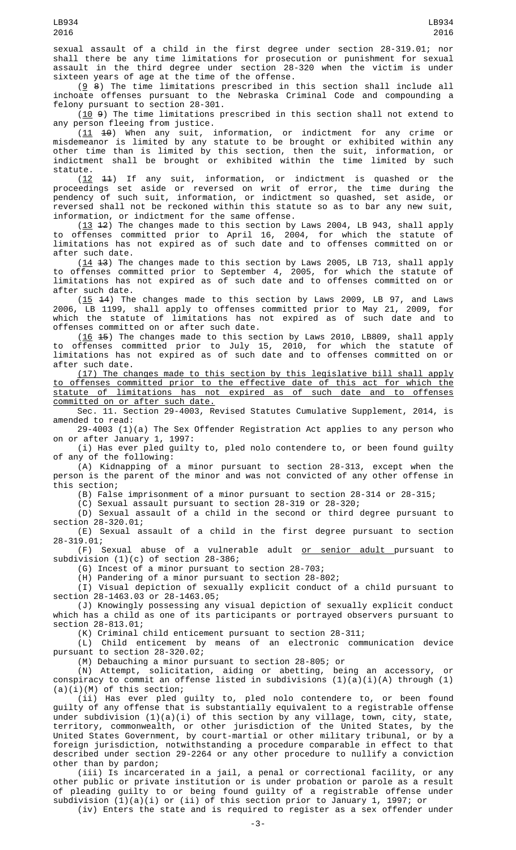sexual assault of a child in the first degree under section 28-319.01; nor shall there be any time limitations for prosecution or punishment for sexual assault in the third degree under section 28-320 when the victim is under sixteen years of age at the time of the offense.

 $(9 8)$  The time limitations prescribed in this section shall include all inchoate offenses pursuant to the Nebraska Criminal Code and compounding a felony pursuant to section 28-301.

(10 9) The time limitations prescribed in this section shall not extend to any person fleeing from justice.

(11 10) When any suit, information, or indictment for any crime or misdemeanor is limited by any statute to be brought or exhibited within any other time than is limited by this section, then the suit, information, or indictment shall be brought or exhibited within the time limited by such statute.

(12 11) If any suit, information, or indictment is quashed or the proceedings set aside or reversed on writ of error, the time during the pendency of such suit, information, or indictment so quashed, set aside, or reversed shall not be reckoned within this statute so as to bar any new suit, information, or indictment for the same offense.

 $(13 \t42)$  The changes made to this section by Laws 2004, LB 943, shall apply to offenses committed prior to April 16, 2004, for which the statute of limitations has not expired as of such date and to offenses committed on or after such date.

 $(14 \t3)$  The changes made to this section by Laws 2005, LB 713, shall apply to offenses committed prior to September 4, 2005, for which the statute of limitations has not expired as of such date and to offenses committed on or after such date.

 $(15$  44) The changes made to this section by Laws 2009, LB 97, and Laws 2006, LB 1199, shall apply to offenses committed prior to May 21, 2009, for which the statute of limitations has not expired as of such date and to offenses committed on or after such date.

 $(16 \t 15)$  The changes made to this section by Laws 2010, LB809, shall apply to offenses committed prior to July 15, 2010, for which the statute of limitations has not expired as of such date and to offenses committed on or after such date.

(17) The changes made to this section by this legislative bill shall apply to offenses committed prior to the effective date of this act for which the statute of limitations has not expired as of such date and to offenses committed on or after such date.

Sec. 11. Section 29-4003, Revised Statutes Cumulative Supplement, 2014, is amended to read:

29-4003 (1)(a) The Sex Offender Registration Act applies to any person who on or after January 1, 1997:

(i) Has ever pled guilty to, pled nolo contendere to, or been found guilty of any of the following:

(A) Kidnapping of a minor pursuant to section 28-313, except when the person is the parent of the minor and was not convicted of any other offense in this section;

(B) False imprisonment of a minor pursuant to section 28-314 or 28-315;

(C) Sexual assault pursuant to section 28-319 or 28-320;

(D) Sexual assault of a child in the second or third degree pursuant to section 28-320.01;

(E) Sexual assault of a child in the first degree pursuant to section 28-319.01;

(F) Sexual abuse of a vulnerable adult <u>or senior adult p</u>ursuant to subdivision (1)(c) of section 28-386;

(G) Incest of a minor pursuant to section 28-703;

(H) Pandering of a minor pursuant to section 28-802;

(I) Visual depiction of sexually explicit conduct of a child pursuant to section 28-1463.03 or 28-1463.05;

(J) Knowingly possessing any visual depiction of sexually explicit conduct which has a child as one of its participants or portrayed observers pursuant to section 28-813.01;

(K) Criminal child enticement pursuant to section 28-311;

(L) Child enticement by means of an electronic communication device pursuant to section 28-320.02;

(M) Debauching a minor pursuant to section 28-805; or

(N) Attempt, solicitation, aiding or abetting, being an accessory, or conspiracy to commit an offense listed in subdivisions (1)(a)(i)(A) through (1)  $(a)(i)(M)$  of this section;

(ii) Has ever pled guilty to, pled nolo contendere to, or been found guilty of any offense that is substantially equivalent to a registrable offense under subdivision (1)(a)(i) of this section by any village, town, city, state, territory, commonwealth, or other jurisdiction of the United States, by the United States Government, by court-martial or other military tribunal, or by a foreign jurisdiction, notwithstanding a procedure comparable in effect to that described under section 29-2264 or any other procedure to nullify a conviction other than by pardon;

(iii) Is incarcerated in a jail, a penal or correctional facility, or any other public or private institution or is under probation or parole as a result of pleading guilty to or being found guilty of a registrable offense under subdivision (1)(a)(i) or (ii) of this section prior to January 1, 1997; or (iv) Enters the state and is required to register as a sex offender under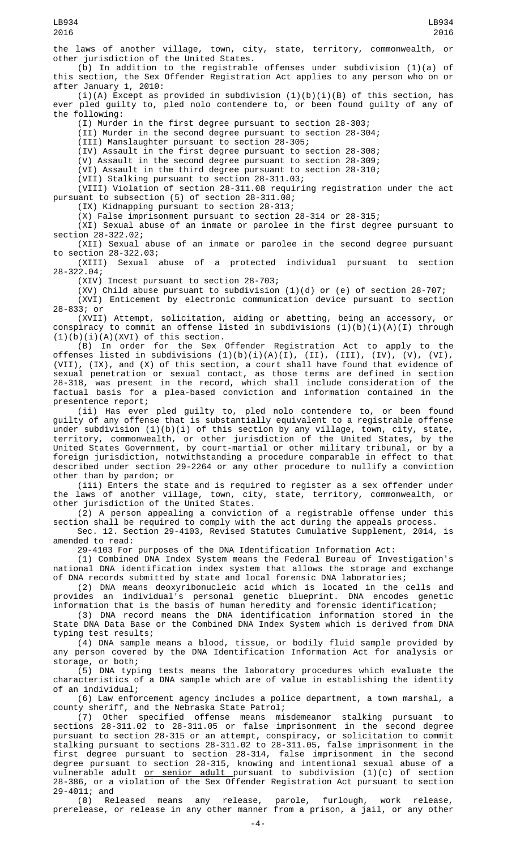the laws of another village, town, city, state, territory, commonwealth, or other jurisdiction of the United States.

(b) In addition to the registrable offenses under subdivision (1)(a) of this section, the Sex Offender Registration Act applies to any person who on or after January 1, 2010:

 $(i)(A)$  Except as provided in subdivision  $(1)(b)(i)(B)$  of this section, has ever pled guilty to, pled nolo contendere to, or been found guilty of any of the following:

(I) Murder in the first degree pursuant to section 28-303;

(II) Murder in the second degree pursuant to section 28-304;

(III) Manslaughter pursuant to section 28-305;

(IV) Assault in the first degree pursuant to section 28-308;

(V) Assault in the second degree pursuant to section 28-309;

(VI) Assault in the third degree pursuant to section 28-310; (VII) Stalking pursuant to section 28-311.03;

(VIII) Violation of section 28-311.08 requiring registration under the act pursuant to subsection (5) of section 28-311.08;

(IX) Kidnapping pursuant to section 28-313;

(X) False imprisonment pursuant to section 28-314 or 28-315;

(XI) Sexual abuse of an inmate or parolee in the first degree pursuant to section 28-322.02;

(XII) Sexual abuse of an inmate or parolee in the second degree pursuant to section 28-322.03;

(XIII) Sexual abuse of a protected individual pursuant to section 28-322.04;

(XIV) Incest pursuant to section 28-703;

 $(XV)$  Child abuse pursuant to subdivision (1)(d) or (e) of section 28-707;

(XVI) Enticement by electronic communication device pursuant to section 28-833; or

(XVII) Attempt, solicitation, aiding or abetting, being an accessory, or conspiracy to commit an offense listed in subdivisions (1)(b)(i)(A)(I) through  $(1)(b)(i)(A)(XVI)$  of this section.

(B) In order for the Sex Offender Registration Act to apply to the offenses listed in subdivisions (1)(b)(i)(A)(I), (II), (III), (IV), (V), (VI), (VII), (IX), and (X) of this section, a court shall have found that evidence of sexual penetration or sexual contact, as those terms are defined in section 28-318, was present in the record, which shall include consideration of the factual basis for a plea-based conviction and information contained in the presentence report;

(ii) Has ever pled guilty to, pled nolo contendere to, or been found guilty of any offense that is substantially equivalent to a registrable offense under subdivision (1)(b)(i) of this section by any village, town, city, state, territory, commonwealth, or other jurisdiction of the United States, by the United States Government, by court-martial or other military tribunal, or by a foreign jurisdiction, notwithstanding a procedure comparable in effect to that described under section 29-2264 or any other procedure to nullify a conviction other than by pardon; or

(iii) Enters the state and is required to register as a sex offender under the laws of another village, town, city, state, territory, commonwealth, or other jurisdiction of the United States.

(2) A person appealing a conviction of a registrable offense under this section shall be required to comply with the act during the appeals process.

Sec. 12. Section 29-4103, Revised Statutes Cumulative Supplement, 2014, is amended to read:

29-4103 For purposes of the DNA Identification Information Act:

(1) Combined DNA Index System means the Federal Bureau of Investigation's national DNA identification index system that allows the storage and exchange of DNA records submitted by state and local forensic DNA laboratories;

(2) DNA means deoxyribonucleic acid which is located in the cells and provides an individual's personal genetic blueprint. DNA encodes genetic information that is the basis of human heredity and forensic identification;

(3) DNA record means the DNA identification information stored in the State DNA Data Base or the Combined DNA Index System which is derived from DNA typing test results;

(4) DNA sample means a blood, tissue, or bodily fluid sample provided by any person covered by the DNA Identification Information Act for analysis or storage, or both;

(5) DNA typing tests means the laboratory procedures which evaluate the characteristics of a DNA sample which are of value in establishing the identity of an individual;

(6) Law enforcement agency includes a police department, a town marshal, a county sheriff, and the Nebraska State Patrol;

(7) Other specified offense means misdemeanor stalking pursuant to sections 28-311.02 to 28-311.05 or false imprisonment in the second degree pursuant to section 28-315 or an attempt, conspiracy, or solicitation to commit stalking pursuant to sections 28-311.02 to 28-311.05, false imprisonment in the first degree pursuant to section 28-314, false imprisonment in the second degree pursuant to section 28-315, knowing and intentional sexual abuse of a vulnerable adult <u>or senior adult p</u>ursuant to subdivision (1)(c) of section 28-386, or a violation of the Sex Offender Registration Act pursuant to section 29-4011; and

(8) Released means any release, parole, furlough, work release, prerelease, or release in any other manner from a prison, a jail, or any other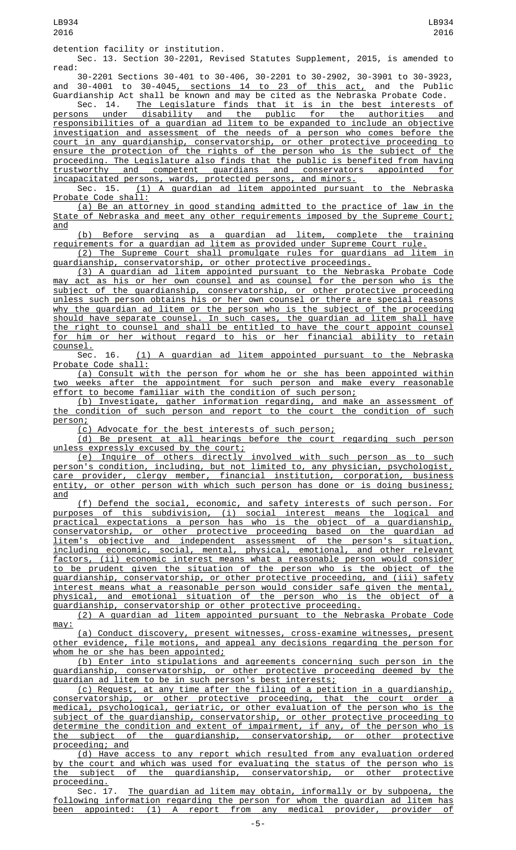Sec. 13. Section 30-2201, Revised Statutes Supplement, 2015, is amended to read:

30-2201 Sections 30-401 to 30-406, 30-2201 to 30-2902, 30-3901 to 30-3923, and 30-4001 to 30-4045<u>, sections 14 to 23 of this act,</u> and the Public Guardianship Act shall be known and may be cited as the Nebraska Probate Code.

Sec. 14. The Legislature finds that it is in the best interests of persons under disability and the public for the authorities and responsibilities of a guardian ad litem to be expanded to include an objective investigation and assessment of the needs of a person who comes before the court in any guardianship, conservatorship, or other protective proceeding to ensure the protection of the rights of the person who is the subject of the proceeding. The Legislature also finds that the public is benefited from having trustworthy and competent guardians and conservators appointed for incapacitated persons, wards, protected persons, and minors.

Sec. 15. <u>(1) A guardian ad litem appointed pursuant to the Nebraska</u> Probate Code shall:

(a) Be an attorney in good standing admitted to the practice of law in the State of Nebraska and meet any other requirements imposed by the Supreme Court; and

(b) Before serving as a guardian ad litem, complete the training requirements for a guardian ad litem as provided under Supreme Court rule.

(2) The Supreme Court shall promulgate rules for guardians ad litem in guardianship, conservatorship, or other protective proceedings.

(3) A guardian ad litem appointed pursuant to the Nebraska Probate Code may act as his or her own counsel and as counsel for the person who is the subject of the guardianship, conservatorship, or other protective proceeding unless such person obtains his or her own counsel or there are special reasons why the guardian ad litem or the person who is the subject of the proceeding should have separate counsel. In such cases, the guardian ad litem shall have the right to counsel and shall be entitled to have the court appoint counsel for him or her without regard to his or her financial ability to retain counsel.<br>Sec. 16.

(1) A guardian ad litem appointed pursuant to the Nebraska Probate Code shall:

(a) Consult with the person for whom he or she has been appointed within weeks after the appointment for such person and make every reasonable effort to become familiar with the condition of such person;

(b) Investigate, gather information regarding, and make an assessment of the condition of such person and report to the court the condition of such person;<br>(c)

Advocate for the best interests of such person;

(d) Be present at all hearings before the court regarding such person unless expressly excused by the court;

(e) Inquire of others directly involved with such person as to such person's condition, including, but not limited to, any physician, psychologist,<br>care provider, clergy member, financial institution, corporation, business care provider, clergy member, financial institution, corporation, entity, or other person with which such person has done or is doing business; and

(f) Defend the social, economic, and safety interests of such person. For purposes of this subdivision, (i) social interest means the logical and practical expectations a person has who is the object of a guardianship, conservatorship, or other protective proceeding based on the guardian ad litem's objective and independent assessment of the person's situation, including economic, social, mental, physical, emotional, and other relevant factors, (ii) economic interest means what a reasonable person would consider to be prudent given the situation of the person who is the object of the guardianship, conservatorship, or other protective proceeding, and (iii) safety interest means what a reasonable person would consider safe given the mental, physical, and emotional situation of the person who is the object of a guardianship, conservatorship or other protective proceeding.

(2) A guardian ad litem appointed pursuant to the Nebraska Probate Code may:

(a) Conduct discovery, present witnesses, cross-examine witnesses, present other evidence, file motions, and appeal any decisions regarding the person for whom he or she has been appointed;

(b) Enter into stipulations and agreements concerning such person in the guardianship, conservatorship, or other protective proceeding deemed by the guardian ad litem to be in such person's best interests;

(c) Request, at any time after the filing of a petition in a guardianship, conservatorship, or other protective proceeding, that the court order a medical, psychological, geriatric, or other evaluation of the person who is the subject of the guardianship, conservatorship, or other protective proceeding to determine the condition and extent of impairment, if any, of the person who is the subject of the guardianship, conservatorship, or other protective proceeding; and

(d) Have access to any report which resulted from any evaluation ordered by the court and which was used for evaluating the status of the person who is the subject of the guardianship, conservatorship, or other protective

proceeding.<br>Sec. 17. The guardian ad litem may obtain, informally or by subpoena, the following information regarding the person for whom the guardian ad litem has been appointed: (1) A report from any medical provider, provider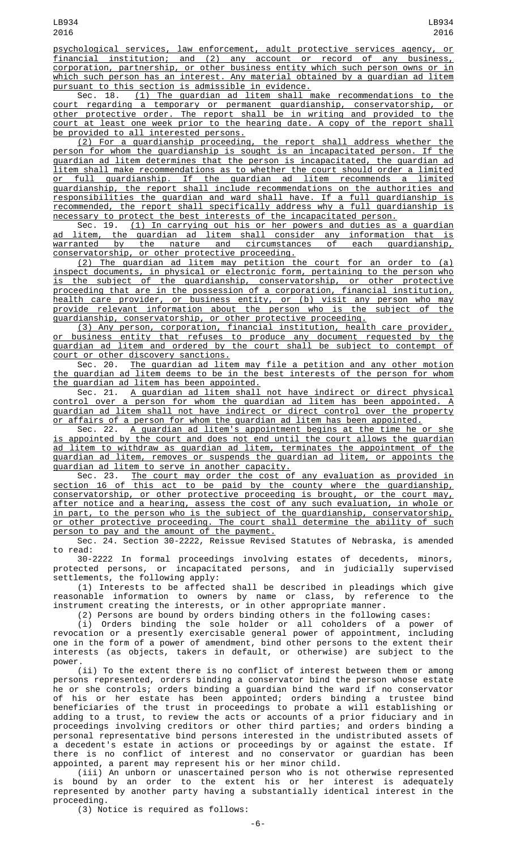psychological services, law enforcement, adult protective services agency, or financial institution; and (2) any account or record of any business, corporation, partnership, or other business entity which such person owns or in which such person has an interest. Any material obtained by a guardian ad litem pursuant to this section is admissible in evidence.

Sec. 18. (1) The guardian ad litem shall make recommendations to the court regarding a temporary or permanent guardianship, conservatorship, or other protective order. The report shall be in writing and provided to the court at least one week prior to the hearing date. A copy of the report shall

<u>be provided to all interested persons.</u><br>(2) For a guardianship proceeding, (2) For a guardianship proceeding, the report shall address whether the person for whom the guardianship is sought is an incapacitated person. If the guardian ad litem determines that the person is incapacitated, the guardian ad litem shall make recommendations as to whether the court should order a limited or full guardianship. If the guardian ad litem recommends a limited guardianship, the report shall include recommendations on the authorities and responsibilities the guardian and ward shall have. If a full guardianship is recommended, the report shall specifically address why a full guardianship is necessary to protect the best interests of the incapacitated person.

Sec. 19. (1) In carrying out his or her powers and duties as a guardian ad litem, the guardian ad litem shall consider any information that is warranted by the nature and circumstances of each guardianship, conservatorship, or other protective proceeding.

(2) The guardian ad litem may petition the court for an order to (a) inspect documents, in physical or electronic form, pertaining to the person who is the subject of the guardianship, conservatorship, or other protective proceeding that are in the possession of a corporation, financial institution, health care provider, or business entity, or (b) visit any person who may provide relevant information about the person who is the subject of the guardianship, conservatorship, or other protective proceeding.

(3) Any person, corporation, financial institution, health care provider, or business entity that refuses to produce any document requested by the guardian ad litem and ordered by the court shall be subject to contempt of court or other discovery sanctions.<br>Sec. 20. The guardian ad lite

Sec. 20. The guardian ad litem may file a petition and any other motion the guardian ad litem deems to be in the best interests of the person for whom the guardian ad litem has been appointed.

Sec. 21. A guardian ad litem shall not have indirect or direct physical control over a person for whom the guardian ad litem has been appointed. A guardian ad litem shall not have indirect or direct control over the property or affairs of a person for whom the guardian ad litem has been appointed.

Sec. 22. A guardian ad litem's appointment begins at the time he or she is appointed by the court and does not end until the court allows the guardian ad litem to withdraw as guardian ad litem, terminates the appointment of the guardian ad litem, removes or suspends the guardian ad litem, or appoints the guardian ad litem to serve in another capacity.

Sec. 23. The court may order the cost of any evaluation as provided in section 16 of this act to be paid by the county where the guardianship, conservatorship, or other protective proceeding is brought, or the court may, after notice and a hearing, assess the cost of any such evaluation, in whole or in part, to the person who is the subject of the guardianship, conservatorship, or other protective proceeding. The court shall determine the ability of such person to pay and the amount of the payment.

Sec. 24. Section 30-2222, Reissue Revised Statutes of Nebraska, is amended to read:

30-2222 In formal proceedings involving estates of decedents, minors, protected persons, or incapacitated persons, and in judicially supervised settlements, the following apply:

(1) Interests to be affected shall be described in pleadings which give reasonable information to owners by name or class, by reference to the instrument creating the interests, or in other appropriate manner.

(2) Persons are bound by orders binding others in the following cases:

(i) Orders binding the sole holder or all coholders of a power of revocation or a presently exercisable general power of appointment, including one in the form of a power of amendment, bind other persons to the extent their interests (as objects, takers in default, or otherwise) are subject to the power.

(ii) To the extent there is no conflict of interest between them or among persons represented, orders binding a conservator bind the person whose estate he or she controls; orders binding a guardian bind the ward if no conservator of his or her estate has been appointed; orders binding a trustee bind beneficiaries of the trust in proceedings to probate a will establishing or adding to a trust, to review the acts or accounts of a prior fiduciary and in proceedings involving creditors or other third parties; and orders binding a personal representative bind persons interested in the undistributed assets of a decedent's estate in actions or proceedings by or against the estate. If there is no conflict of interest and no conservator or guardian has been appointed, a parent may represent his or her minor child.

(iii) An unborn or unascertained person who is not otherwise represented is bound by an order to the extent his or her interest is adequately represented by another party having a substantially identical interest in the proceeding.

(3) Notice is required as follows: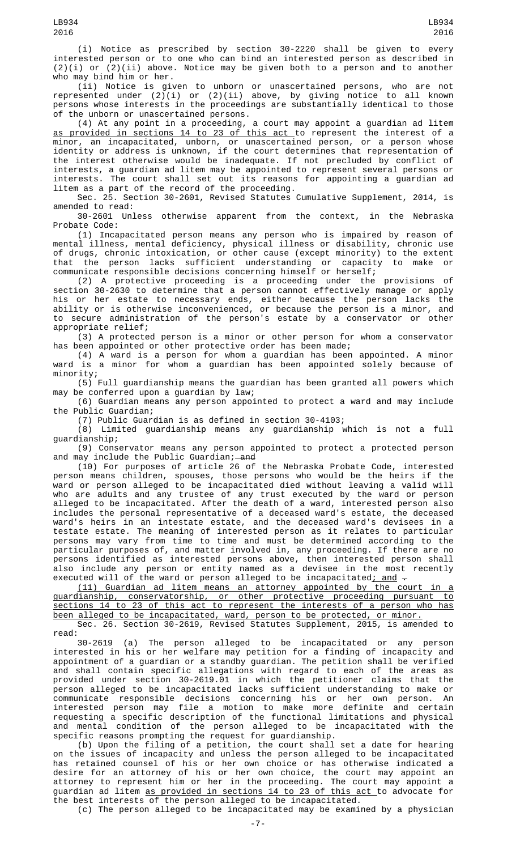(i) Notice as prescribed by section 30-2220 shall be given to every interested person or to one who can bind an interested person as described in  $(2)(i)$  or  $(2)(ii)$  above. Notice may be given both to a person and to another who may bind him or her.

(ii) Notice is given to unborn or unascertained persons, who are not represented under (2)(i) or (2)(ii) above, by giving notice to all known persons whose interests in the proceedings are substantially identical to those of the unborn or unascertained persons.

(4) At any point in a proceeding, a court may appoint a guardian ad litem as provided in sections 14 to 23 of this act to represent the interest of a minor, an incapacitated, unborn, or unascertained person, or a person whose identity or address is unknown, if the court determines that representation of the interest otherwise would be inadequate. If not precluded by conflict of interests, a guardian ad litem may be appointed to represent several persons or interests. The court shall set out its reasons for appointing a guardian ad litem as a part of the record of the proceeding.

Sec. 25. Section 30-2601, Revised Statutes Cumulative Supplement, 2014, is amended to read:

30-2601 Unless otherwise apparent from the context, in the Nebraska Probate Code:

(1) Incapacitated person means any person who is impaired by reason of mental illness, mental deficiency, physical illness or disability, chronic use of drugs, chronic intoxication, or other cause (except minority) to the extent that the person lacks sufficient understanding or capacity to make or communicate responsible decisions concerning himself or herself;

(2) A protective proceeding is a proceeding under the provisions of section 30-2630 to determine that a person cannot effectively manage or apply his or her estate to necessary ends, either because the person lacks the ability or is otherwise inconvenienced, or because the person is a minor, and to secure administration of the person's estate by a conservator or other appropriate relief;

(3) A protected person is a minor or other person for whom a conservator has been appointed or other protective order has been made;

(4) A ward is a person for whom a guardian has been appointed. A minor ward is a minor for whom a guardian has been appointed solely because of minority;

(5) Full guardianship means the guardian has been granted all powers which may be conferred upon a guardian by law;

(6) Guardian means any person appointed to protect a ward and may include the Public Guardian;

(7) Public Guardian is as defined in section 30-4103;

(8) Limited guardianship means any guardianship which is not a full guardianship;

(9) Conservator means any person appointed to protect a protected person and may include the Public Guardian;—<del>and</del>

(10) For purposes of article 26 of the Nebraska Probate Code, interested person means children, spouses, those persons who would be the heirs if the ward or person alleged to be incapacitated died without leaving a valid will who are adults and any trustee of any trust executed by the ward or person alleged to be incapacitated. After the death of a ward, interested person also includes the personal representative of a deceased ward's estate, the deceased ward's heirs in an intestate estate, and the deceased ward's devisees in a testate estate. The meaning of interested person as it relates to particular persons may vary from time to time and must be determined according to the particular purposes of, and matter involved in, any proceeding. If there are no persons identified as interested persons above, then interested person shall also include any person or entity named as a devisee in the most recently executed will of the ward or person alleged to be incapacitated; and  $-$ 

(11) Guardian ad litem means an attorney appointed by the court in a guardianship, conservatorship, or other protective proceeding pursuant to sections 14 to 23 of this act to represent the interests of a person who has been alleged to be incapacitated, ward, person to be protected, or minor.

Sec. 26. Section 30-2619, Revised Statutes Supplement, 2015, is amended to read:

30-2619 (a) The person alleged to be incapacitated or any person interested in his or her welfare may petition for a finding of incapacity and appointment of a guardian or a standby guardian. The petition shall be verified and shall contain specific allegations with regard to each of the areas as provided under section 30-2619.01 in which the petitioner claims that the person alleged to be incapacitated lacks sufficient understanding to make or communicate responsible decisions concerning his or her own person. An interested person may file a motion to make more definite and certain requesting a specific description of the functional limitations and physical and mental condition of the person alleged to be incapacitated with the specific reasons prompting the request for guardianship.

(b) Upon the filing of a petition, the court shall set a date for hearing on the issues of incapacity and unless the person alleged to be incapacitated has retained counsel of his or her own choice or has otherwise indicated a desire for an attorney of his or her own choice, the court may appoint an attorney to represent him or her in the proceeding. The court may appoint a guardian ad litem as provided in sections 14 to 23 of this act to advocate for the best interests of the person alleged to be incapacitated.

(c) The person alleged to be incapacitated may be examined by a physician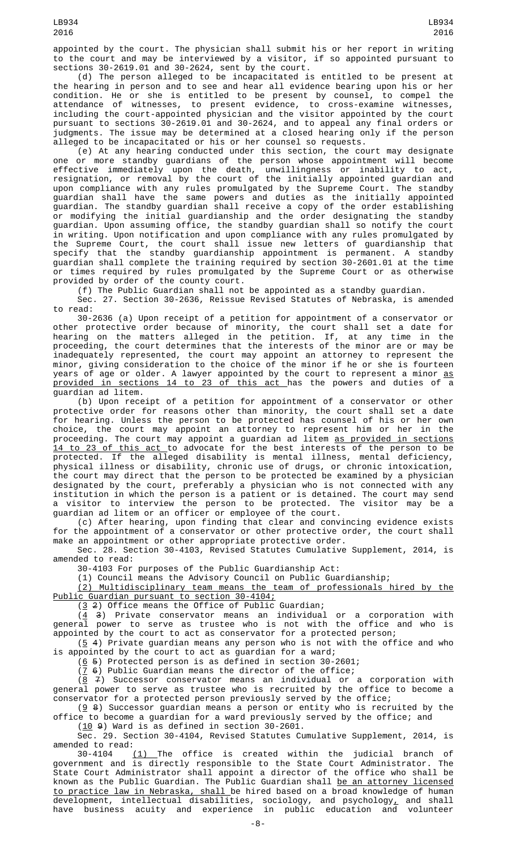appointed by the court. The physician shall submit his or her report in writing to the court and may be interviewed by a visitor, if so appointed pursuant to sections 30-2619.01 and 30-2624, sent by the court.

(d) The person alleged to be incapacitated is entitled to be present at the hearing in person and to see and hear all evidence bearing upon his or her condition. He or she is entitled to be present by counsel, to compel the attendance of witnesses, to present evidence, to cross-examine witnesses, including the court-appointed physician and the visitor appointed by the court pursuant to sections 30-2619.01 and 30-2624, and to appeal any final orders or judgments. The issue may be determined at a closed hearing only if the person alleged to be incapacitated or his or her counsel so requests.

(e) At any hearing conducted under this section, the court may designate one or more standby guardians of the person whose appointment will become effective immediately upon the death, unwillingness or inability to act, resignation, or removal by the court of the initially appointed guardian and upon compliance with any rules promulgated by the Supreme Court. The standby guardian shall have the same powers and duties as the initially appointed guardian. The standby guardian shall receive a copy of the order establishing or modifying the initial guardianship and the order designating the standby guardian. Upon assuming office, the standby guardian shall so notify the court in writing. Upon notification and upon compliance with any rules promulgated by the Supreme Court, the court shall issue new letters of guardianship that specify that the standby guardianship appointment is permanent. A standby guardian shall complete the training required by section 30-2601.01 at the time or times required by rules promulgated by the Supreme Court or as otherwise provided by order of the county court.

(f) The Public Guardian shall not be appointed as a standby guardian.

Sec. 27. Section 30-2636, Reissue Revised Statutes of Nebraska, is amended to read:

30-2636 (a) Upon receipt of a petition for appointment of a conservator or other protective order because of minority, the court shall set a date for hearing on the matters alleged in the petition. If, at any time in the proceeding, the court determines that the interests of the minor are or may be inadequately represented, the court may appoint an attorney to represent the minor, giving consideration to the choice of the minor if he or she is fourteen years of age or older. A lawyer appointed by the court to represent a minor <u>as</u> provided in sections 14 to 23 of this act has the powers and duties of a guardian ad litem.

(b) Upon receipt of a petition for appointment of a conservator or other protective order for reasons other than minority, the court shall set a date for hearing. Unless the person to be protected has counsel of his or her own choice, the court may appoint an attorney to represent him or her in the proceeding. The court may appoint a guardian ad litem <u>as provided in sections</u> <u>14 to 23 of this act </u>to advocate for the best interests of the person to be protected. If the alleged disability is mental illness, mental deficiency, physical illness or disability, chronic use of drugs, or chronic intoxication, the court may direct that the person to be protected be examined by a physician designated by the court, preferably a physician who is not connected with any institution in which the person is a patient or is detained. The court may send a visitor to interview the person to be protected. The visitor may be a guardian ad litem or an officer or employee of the court.

(c) After hearing, upon finding that clear and convincing evidence exists for the appointment of a conservator or other protective order, the court shall make an appointment or other appropriate protective order.

Sec. 28. Section 30-4103, Revised Statutes Cumulative Supplement, 2014, is amended to read:

30-4103 For purposes of the Public Guardianship Act:

(1) Council means the Advisory Council on Public Guardianship;

(2) Multidisciplinary team means the team of professionals hired by the Public Guardian pursuant to section 30-4104;

(3 2) Office means the Office of Public Guardian;

(4 3) Private conservator means an individual or a corporation with general power to serve as trustee who is not with the office and who is appointed by the court to act as conservator for a protected person;

 $(5 4)$  Private guardian means any person who is not with the office and who is appointed by the court to act as guardian for a ward;

 $(6 5)$  Protected person is as defined in section 30-2601;

 $(7 6)$  Public Guardian means the director of the office;

 $(8 \t 7)$  Successor conservator means an individual or a corporation with general power to serve as trustee who is recruited by the office to become a conservator for a protected person previously served by the office;

 $(g_8)$  Successor guardian means a person or entity who is recruited by the office to become a guardian for a ward previously served by the office; and

 $(10 9)$  Ward is as defined in section 30-2601.

Sec. 29. Section 30-4104, Revised Statutes Cumulative Supplement, 2014, is amended to read:

30-4104 <u>(1) </u>The office is created within the judicial branch of government and is directly responsible to the State Court Administrator. The State Court Administrator shall appoint a director of the office who shall be known as the Public Guardian. The Public Guardian shall <u>be an attorney licensed</u> to practice law in Nebraska, shall be hired based on a broad knowledge of human development, intellectual disabilities, sociology, and psychology $_{\scriptscriptstyle\rm L}$  and shall have business acuity and experience in public education and volunteer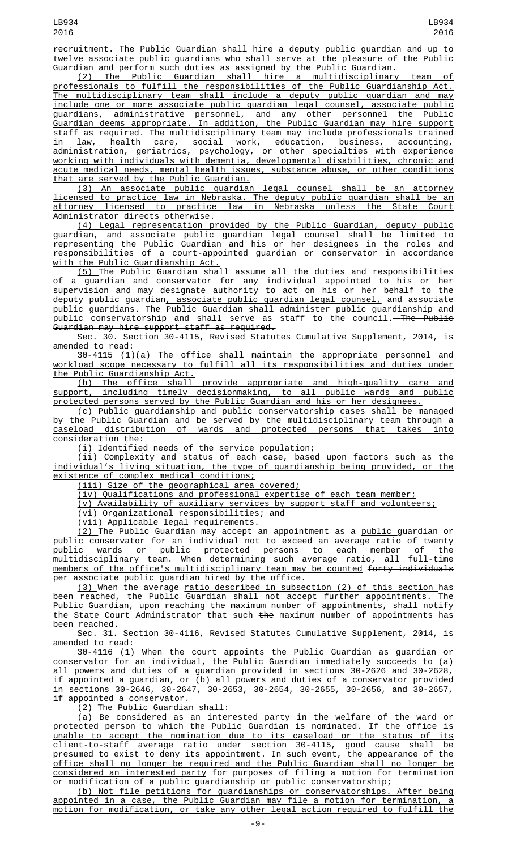recruitment. The Public Guardian shall hire a deputy public guardian and up to twelve associate public guardians who shall serve at the pleasure of the Public Guardian and perform such duties as assigned by the Public Guardian.

(2) The Public Guardian shall hire a multidisciplinary team of professionals to fulfill the responsibilities of the Public Guardianship Act. The multidisciplinary team shall include a deputy public guardian and may include one or more associate public guardian legal counsel, associate public guardians, administrative personnel, and any other personnel the Public Guardian deems appropriate. In addition, the Public Guardian may hire support staff as required. The multidisciplinary team may include professionals trained in law, health care, social work, education, business, accounting, administration, geriatrics, psychology, or other specialties with experience working with individuals with dementia, developmental disabilities, chronic and acute medical needs, mental health issues, substance abuse, or other conditions that are served by the Public Guardian.

(3) An associate public guardian legal counsel shall be an attorney licensed to practice law in Nebraska. The deputy public guardian shall be an attorney licensed to practice law in Nebraska unless the State Court Administrator directs otherwise.

(4) Legal representation provided by the Public Guardian, deputy public guardian, and associate public guardian legal counsel shall be limited to representing the Public Guardian and his or her designees in the roles and responsibilities of a court-appointed guardian or conservator in accordance with the Public Guardianship Act.

(5) The Public Guardian shall assume all the duties and responsibilities of a guardian and conservator for any individual appointed to his or her supervision and may designate authority to act on his or her behalf to the deputy public guardian<u>, associate public guardian legal counsel,</u> and associate public guardians. The Public Guardian shall administer public guardianship and public conservatorship and shall serve as staff to the council.—<del>The Public</del> Guardian may hire support staff as required.

Sec. 30. Section 30-4115, Revised Statutes Cumulative Supplement, 2014, is amended to read:

30-4115 (1)(a) The office shall maintain the appropriate personnel and workload scope necessary to fulfill all its responsibilities and duties under the Public Guardianship Act.<br>(b) The office shall

provide appropriate and high-quality care and support, including timely decisionmaking, to all public wards and public protected persons served by the Public Guardian and his or her designees.

(c) Public guardianship and public conservatorship cases shall be managed by the Public Guardian and be served by the multidisciplinary team through a caseload distribution of wards and protected persons that takes into consideration the:

(i) Identified needs of the service population;

(ii) Complexity and status of each case, based upon factors such as the individual's living situation, the type of guardianship being provided, or the existence of complex medical conditions;

(iii) Size of the geographical area covered;

(iv) Qualifications and professional expertise of each team member;

(v) Availability of auxiliary services by support staff and volunteers;

(vi) Organizational responsibilities; and

(vii) Applicable legal requirements.

<u>(2) </u>The Public Guardian may accept an appointment as a <u>public g</u>uardian or <u>public c</u>onservator for an individual not to exceed an average <u>ratio of twenty</u> public wards or public protected persons to each member of the multidisciplinary team. When determining such average ratio, all full-time members of the office's multidisciplinary team may be counted forty individuals per associate public guardian hired by the office.

(3) When the average ratio described in subsection (2) of this section has been reached, the Public Guardian shall not accept further appointments. The Public Guardian, upon reaching the maximum number of appointments, shall notify the State Court Administrator that <u>such</u> <del>the</del> maximum number of appointments has been reached.

Sec. 31. Section 30-4116, Revised Statutes Cumulative Supplement, 2014, is amended to read:

30-4116 (1) When the court appoints the Public Guardian as guardian or conservator for an individual, the Public Guardian immediately succeeds to (a) all powers and duties of a guardian provided in sections 30-2626 and 30-2628, if appointed a guardian, or (b) all powers and duties of a conservator provided in sections 30-2646, 30-2647, 30-2653, 30-2654, 30-2655, 30-2656, and 30-2657, if appointed a conservator.

(2) The Public Guardian shall:

(a) Be considered as an interested party in the welfare of the ward or protected person <u>to which the Public Guardian is nominated. If the office is</u> unable to accept the nomination due to its caseload or the status of its client-to-staff average ratio under section 30-4115, good cause shall be presumed to exist to deny its appointment. In such event, the appearance of the office shall no longer be required and the Public Guardian shall no longer be considered an interested party for purposes of filing a motion for termination or modification of a public guardianship or public conservatorship;

(b) Not file petitions for guardianships or conservatorships. After being appointed in a case, the Public Guardian may file a motion for termination, a motion for modification, or take any other legal action required to fulfill the